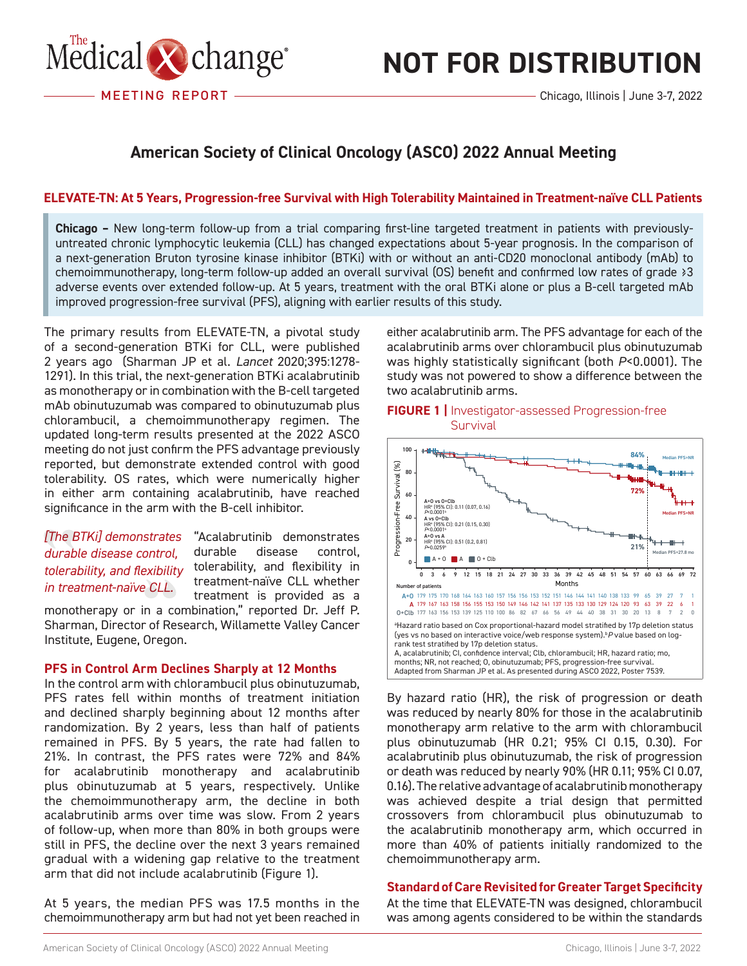

# **NOT FOR DISTRIBUTION**

### **American Society of Clinical Oncology (ASCO) 2022 Annual Meeting**

#### **ELEVATE-TN: At 5 Years, Progression-free Survival with High Tolerability Maintained in Treatment-naïve CLL Patients**

RAPPORT DE CONFÉRENCE **Chicago –** New long-term follow-up from a trial comparing first-line targeted treatment in patients with previouslyuntreated chronic lymphocytic leukemia (CLL) has changed expectations about 5-year prognosis. In the comparison of a next-generation Bruton tyrosine kinase inhibitor (BTKi) with or without an anti-CD20 monoclonal antibody (mAb) to chemoimmunotherapy, long-term follow-up added an overall survival (OS) benefit and confirmed low rates of grade ≥3 adverse events over extended follow-up. At 5 years, treatment with the oral BTKi alone or plus a B-cell targeted mAb improved progression-free survival (PFS), aligning with earlier results of this study.

The primary results from ELEVATE-TN, a pivotal study of a second-generation BTKi for CLL, were published 2 years ago (Sharman JP et al. *Lancet* 2020;395:1278- 1291). In this trial, the next-generation BTKi acalabrutinib as monotherapy or in combination with the B-cell targeted mAb obinutuzumab was compared to obinutuzumab plus chlorambucil, a chemoimmunotherapy regimen. The updated long-term results presented at the 2022 ASCO meeting do not just confirm the PFS advantage previously reported, but demonstrate extended control with good tolerability. OS rates, which were numerically higher in either arm containing acalabrutinib, have reached significance in the arm with the B-cell inhibitor.

#### *[The BTKi] demonstrates durable disease control, tolerability, and flexibility in treatment-naïve CLL.*

"Acalabrutinib demonstrates durable disease control, tolerability, and flexibility in treatment-naïve CLL whether treatment is provided as a

monotherapy or in a combination," reported Dr. Jeff P. Sharman, Director of Research, Willamette Valley Cancer Institute, Eugene, Oregon.

#### **PFS in Control Arm Declines Sharply at 12 Months**

In the control arm with chlorambucil plus obinutuzumab, PFS rates fell within months of treatment initiation and declined sharply beginning about 12 months after randomization. By 2 years, less than half of patients remained in PFS. By 5 years, the rate had fallen to 21%. In contrast, the PFS rates were 72% and 84% for acalabrutinib monotherapy and acalabrutinib plus obinutuzumab at 5 years, respectively. Unlike the chemoimmunotherapy arm, the decline in both acalabrutinib arms over time was slow. From 2 years of follow-up, when more than 80% in both groups were still in PFS, the decline over the next 3 years remained gradual with a widening gap relative to the treatment arm that did not include acalabrutinib (Figure 1).

At 5 years, the median PFS was 17.5 months in the chemoimmunotherapy arm but had not yet been reached in

either acalabrutinib arm. The PFS advantage for each of the acalabrutinib arms over chlorambucil plus obinutuzumab was highly statistically significant (both *P*<0.0001). The study was not powered to show a difference between the two acalabrutinib arms.

#### **FIGURE 1 |** Investigator-assessed Progression-free **Survival**



By hazard ratio (HR), the risk of progression or death was reduced by nearly 80% for those in the acalabrutinib monotherapy arm relative to the arm with chlorambucil plus obinutuzumab (HR 0.21; 95% CI 0.15, 0.30). For acalabrutinib plus obinutuzumab, the risk of progression or death was reduced by nearly 90% (HR 0.11; 95% CI 0.07, 0.16). The relative advantage of acalabrutinib monotherapy was achieved despite a trial design that permitted crossovers from chlorambucil plus obinutuzumab to the acalabrutinib monotherapy arm, which occurred in more than 40% of patients initially randomized to the chemoimmunotherapy arm.

#### **Standard of Care Revisited for Greater Target Specificity**

At the time that ELEVATE-TN was designed, chlorambucil was among agents considered to be within the standards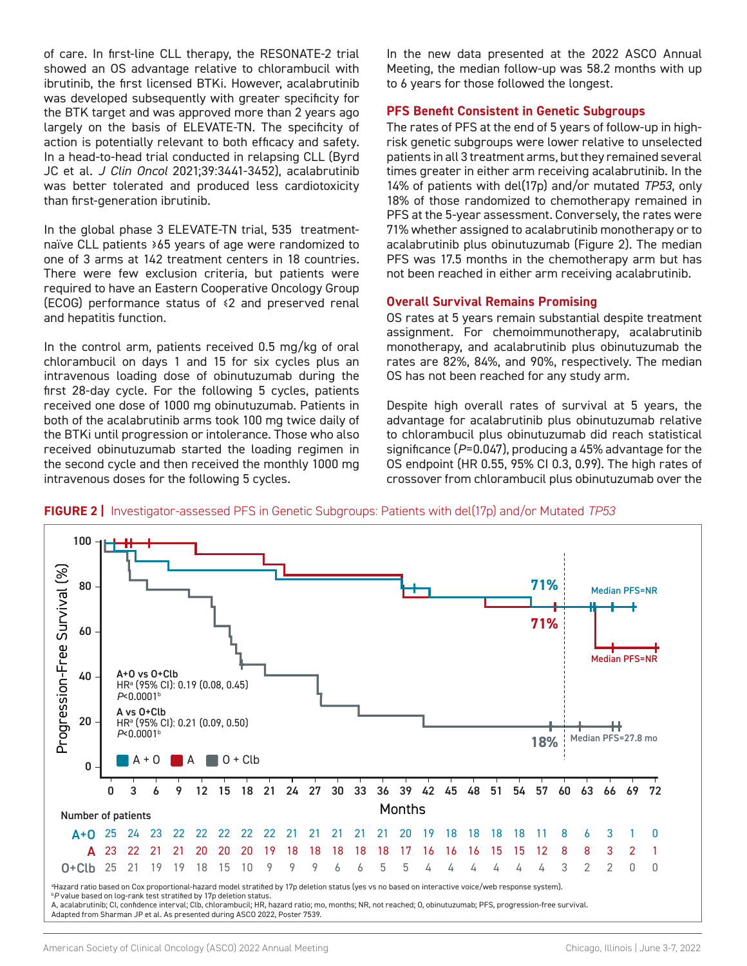of care. In first-line CLL therapy, the RESONATE-2 trial showed an OS advantage relative to chlorambucil with ibrutinib, the first licensed BTKi. However, acalabrutinib was developed subsequently with greater specificity for the BTK target and was approved more than 2 years ago largely on the basis of ELEVATE-TN. The specificity of action is potentially relevant to both efficacy and safety. In a head-to-head trial conducted in relapsing CLL (Byrd JC et al. *J Clin Oncol* 2021;39:3441-3452), acalabrutinib was better tolerated and produced less cardiotoxicity than first-generation ibrutinib.

In the global phase 3 ELEVATE-TN trial, 535 treatmentnaïve CLL patients ≥65 years of age were randomized to one of 3 arms at 142 treatment centers in 18 countries. There were few exclusion criteria, but patients were required to have an Eastern Cooperative Oncology Group (ECOG) performance status of ≤2 and preserved renal and hepatitis function.

In the control arm, patients received 0.5 mg/kg of oral chlorambucil on days 1 and 15 for six cycles plus an intravenous loading dose of obinutuzumab during the first 28-day cycle. For the following 5 cycles, patients received one dose of 1000 mg obinutuzumab. Patients in both of the acalabrutinib arms took 100 mg twice daily of the BTKi until progression or intolerance. Those who also received obinutuzumab started the loading regimen in the second cycle and then received the monthly 1000 mg intravenous doses for the following 5 cycles.

In the new data presented at the 2022 ASCO Annual Meeting, the median follow-up was 58.2 months with up to 6 years for those followed the longest.

#### **PFS Benefit Consistent in Genetic Subgroups**

The rates of PFS at the end of 5 years of follow-up in highrisk genetic subgroups were lower relative to unselected patients in all 3 treatment arms, but they remained several times greater in either arm receiving acalabrutinib. In the 14% of patients with del(17p) and/or mutated *TP53*, only 18% of those randomized to chemotherapy remained in PFS at the 5-year assessment. Conversely, the rates were 71% whether assigned to acalabrutinib monotherapy or to acalabrutinib plus obinutuzumab (Figure 2). The median PFS was 17.5 months in the chemotherapy arm but has not been reached in either arm receiving acalabrutinib.

#### **Overall Survival Remains Promising**

OS rates at 5 years remain substantial despite treatment assignment. For chemoimmunotherapy, acalabrutinib monotherapy, and acalabrutinib plus obinutuzumab the rates are 82%, 84%, and 90%, respectively. The median OS has not been reached for any study arm.

Despite high overall rates of survival at 5 years, the advantage for acalabrutinib plus obinutuzumab relative to chlorambucil plus obinutuzumab did reach statistical significance (*P*=0.047), producing a 45% advantage for the OS endpoint (HR 0.55, 95% CI 0.3, 0.99). The high rates of crossover from chlorambucil plus obinutuzumab over the



**FIGURE 2 |** Investigator-assessed PFS in Genetic Subgroups: Patients with del(17p) and/or Mutated *TP53*

A, acalabrutinib; CI, confidence interval; Clb, chlorambucil; HR, hazard ratio; mo, months; NR, not reached; O, obinutuzumab; PFS, progression-free survival. Adapted from Sharman JP et al. As presented during ASCO 2022, Poster 7539.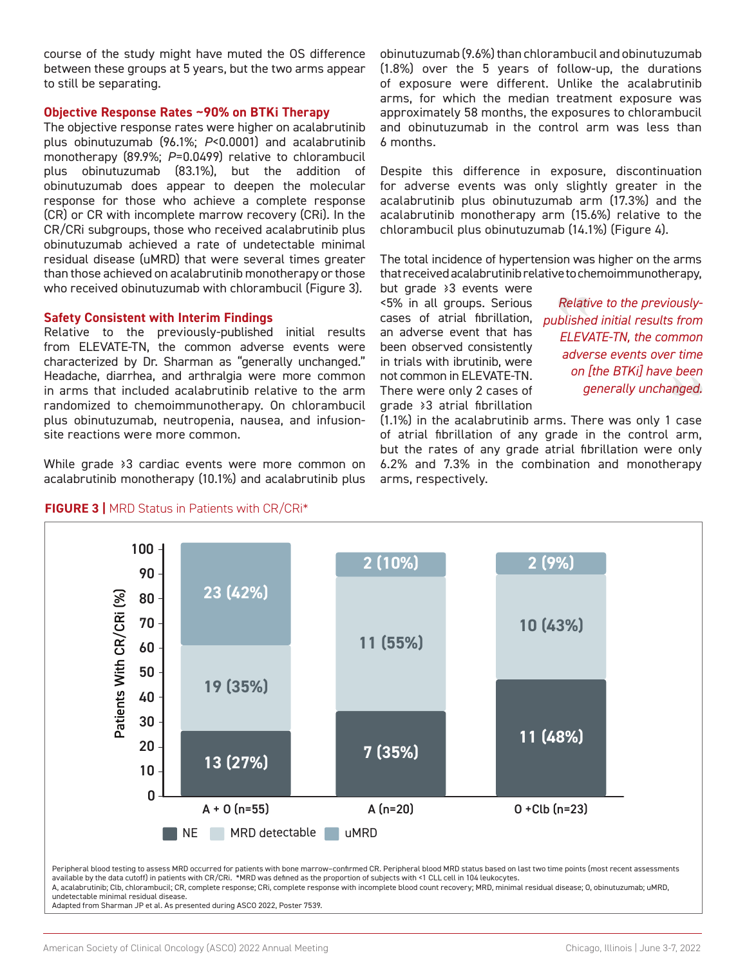course of the study might have muted the OS difference between these groups at 5 years, but the two arms appear to still be separating.

#### **Objective Response Rates ~90% on BTKi Therapy**

The objective response rates were higher on acalabrutinib plus obinutuzumab (96.1%; *P*<0.0001) and acalabrutinib monotherapy (89.9%; *P*=0.0499) relative to chlorambucil plus obinutuzumab (83.1%), but the addition of obinutuzumab does appear to deepen the molecular response for those who achieve a complete response (CR) or CR with incomplete marrow recovery (CRi). In the CR/CRi subgroups, those who received acalabrutinib plus obinutuzumab achieved a rate of undetectable minimal residual disease (uMRD) that were several times greater than those achieved on acalabrutinib monotherapy or those who received obinutuzumab with chlorambucil (Figure 3).

#### **Safety Consistent with Interim Findings**

Relative to the previously-published initial results from ELEVATE-TN, the common adverse events were characterized by Dr. Sharman as "generally unchanged." Headache, diarrhea, and arthralgia were more common in arms that included acalabrutinib relative to the arm randomized to chemoimmunotherapy. On chlorambucil plus obinutuzumab, neutropenia, nausea, and infusionsite reactions were more common.

While grade ≥3 cardiac events were more common on acalabrutinib monotherapy (10.1%) and acalabrutinib plus

**FIGURE 3 |** MRD Status in Patients with CR/CRi\*

obinutuzumab (9.6%) than chlorambucil and obinutuzumab (1.8%) over the 5 years of follow-up, the durations of exposure were different. Unlike the acalabrutinib arms, for which the median treatment exposure was approximately 58 months, the exposures to chlorambucil and obinutuzumab in the control arm was less than 6 months.

Despite this difference in exposure, discontinuation for adverse events was only slightly greater in the acalabrutinib plus obinutuzumab arm (17.3%) and the acalabrutinib monotherapy arm (15.6%) relative to the chlorambucil plus obinutuzumab (14.1%) (Figure 4).

The total incidence of hypertension was higher on the arms that received acalabrutinib relative to chemoimmunotherapy,

but grade ≥3 events were <5% in all groups. Serious an adverse event that has been observed consistently in trials with ibrutinib, were not common in ELEVATE-TN. There were only 2 cases of grade ≥3 atrial fibrillation

cases of atrial fibrillation, *published initial results from Relative to the previously-ELEVATE-TN, the common adverse events over time on [the BTKi] have been generally unchanged.*

(1.1%) in the acalabrutinib arms. There was only 1 case of atrial fibrillation of any grade in the control arm, but the rates of any grade atrial fibrillation were only 6.2% and 7.3% in the combination and monotherapy arms, respectively.

![](_page_2_Figure_12.jpeg)

available by the data cutoff) in patients with CR/CRi. \*MRD was defined as the proportion of subjects with <1 CLL cell in 104 leukocytes. A, acalabrutinib; Clb, chlorambucil; CR, complete response; CRi, complete response with incomplete blood count recovery; MRD, minimal residual disease; O, obinutuzumab; uMRD, undetectable minimal residual disease.

Adapted from Sharman JP et al. As presented during ASCO 2022, Poster 7539.